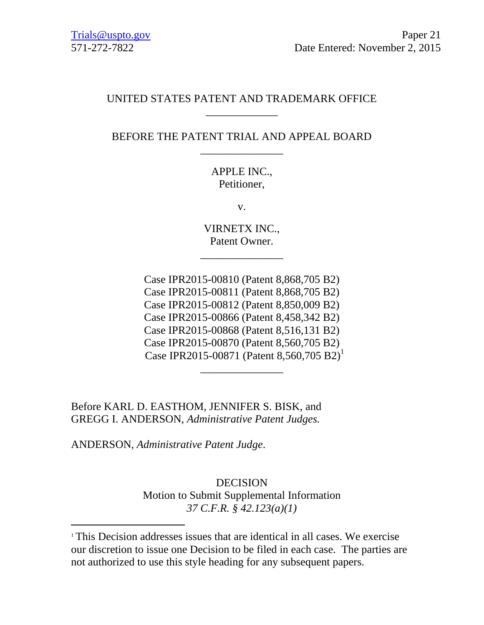## UNITED STATES PATENT AND TRADEMARK OFFICE \_\_\_\_\_\_\_\_\_\_\_\_\_

# BEFORE THE PATENT TRIAL AND APPEAL BOARD \_\_\_\_\_\_\_\_\_\_\_\_\_\_\_

## APPLE INC., Petitioner,

v.

VIRNETX INC., Patent Owner.

\_\_\_\_\_\_\_\_\_\_\_\_\_\_\_

Case IPR2015-00810 (Patent 8,868,705 B2) Case IPR2015-00811 (Patent 8,868,705 B2) Case IPR2015-00812 (Patent 8,850,009 B2) Case IPR2015-00866 (Patent 8,458,342 B2) Case IPR2015-00868 (Patent 8,516,131 B2) Case IPR2015-00870 (Patent 8,560,705 B2) Case IPR2015-00871 (Patent 8,560,705 B2)<sup>1</sup>

\_\_\_\_\_\_\_\_\_\_\_\_\_\_\_

Before KARL D. EASTHOM, JENNIFER S. BISK, and GREGG I. ANDERSON, *Administrative Patent Judges.* 

ANDERSON, *Administrative Patent Judge*.

l

DECISION Motion to Submit Supplemental Information *37 C.F.R. § 42.123(a)(1)*

<sup>1</sup> This Decision addresses issues that are identical in all cases. We exercise our discretion to issue one Decision to be filed in each case. The parties are not authorized to use this style heading for any subsequent papers.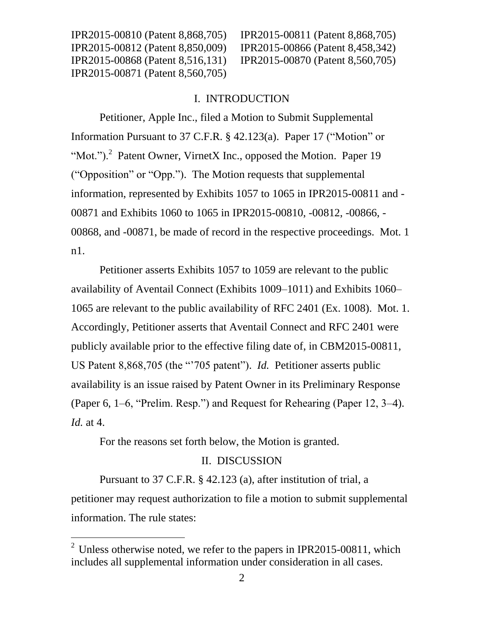IPR2015-00810 (Patent 8,868,705) IPR2015-00811 (Patent 8,868,705)

#### I. INTRODUCTION

Petitioner, Apple Inc., filed a Motion to Submit Supplemental Information Pursuant to 37 C.F.R. § 42.123(a). Paper 17 ("Motion" or "Mot.").<sup>2</sup> Patent Owner, VirnetX Inc., opposed the Motion. Paper 19 ("Opposition" or "Opp."). The Motion requests that supplemental information, represented by Exhibits 1057 to 1065 in IPR2015-00811 and - 00871 and Exhibits 1060 to 1065 in IPR2015-00810, -00812, -00866, - 00868, and -00871, be made of record in the respective proceedings. Mot. 1 n1.

Petitioner asserts Exhibits 1057 to 1059 are relevant to the public availability of Aventail Connect (Exhibits 1009–1011) and Exhibits 1060– 1065 are relevant to the public availability of RFC 2401 (Ex. 1008). Mot. 1. Accordingly, Petitioner asserts that Aventail Connect and RFC 2401 were publicly available prior to the effective filing date of, in CBM2015-00811, US Patent 8,868,705 (the "'705 patent"). *Id.* Petitioner asserts public availability is an issue raised by Patent Owner in its Preliminary Response (Paper 6, 1–6, "Prelim. Resp.") and Request for Rehearing (Paper 12, 3–4). *Id.* at 4.

For the reasons set forth below, the Motion is granted.

 $\overline{a}$ 

#### II. DISCUSSION

Pursuant to 37 C.F.R. § 42.123 (a), after institution of trial, a petitioner may request authorization to file a motion to submit supplemental information. The rule states:

<sup>&</sup>lt;sup>2</sup> Unless otherwise noted, we refer to the papers in IPR2015-00811, which includes all supplemental information under consideration in all cases.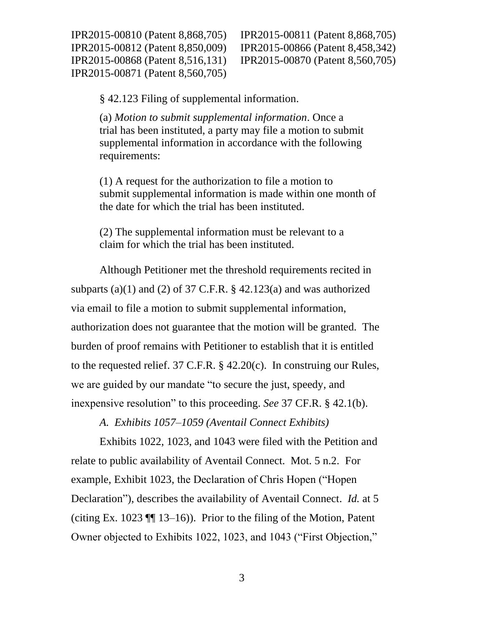IPR2015-00810 (Patent 8,868,705) IPR2015-00811 (Patent 8,868,705) IPR2015-00812 (Patent 8,850,009) IPR2015-00866 (Patent 8,458,342) IPR2015-00868 (Patent 8,516,131) IPR2015-00870 (Patent 8,560,705) IPR2015-00871 (Patent 8,560,705)

§ 42.123 Filing of supplemental information.

(a) *Motion to submit supplemental information*. Once a trial has been instituted, a party may file a motion to submit supplemental information in accordance with the following requirements:

(1) A request for the authorization to file a motion to submit supplemental information is made within one month of the date for which the trial has been instituted.

(2) The supplemental information must be relevant to a claim for which the trial has been instituted.

Although Petitioner met the threshold requirements recited in subparts (a)(1) and (2) of 37 C.F.R.  $\S$  42.123(a) and was authorized via email to file a motion to submit supplemental information, authorization does not guarantee that the motion will be granted. The burden of proof remains with Petitioner to establish that it is entitled to the requested relief. 37 C.F.R. § 42.20(c). In construing our Rules, we are guided by our mandate "to secure the just, speedy, and inexpensive resolution" to this proceeding. *See* 37 CF.R. § 42.1(b).

*A. Exhibits 1057–1059 (Aventail Connect Exhibits)*

Exhibits 1022, 1023, and 1043 were filed with the Petition and relate to public availability of Aventail Connect. Mot. 5 n.2. For example, Exhibit 1023, the Declaration of Chris Hopen ("Hopen Declaration"), describes the availability of Aventail Connect. *Id.* at 5 (citing Ex. 1023  $\P$  13–16)). Prior to the filing of the Motion, Patent Owner objected to Exhibits 1022, 1023, and 1043 ("First Objection,"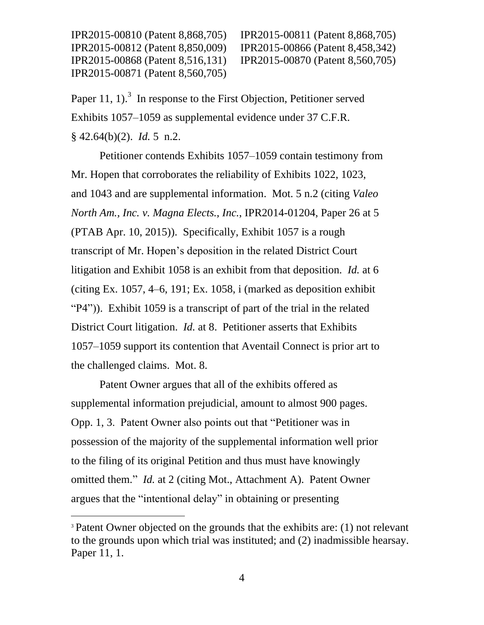IPR2015-00810 (Patent 8,868,705) IPR2015-00811 (Patent 8,868,705)

Paper 11, 1).<sup>3</sup> In response to the First Objection, Petitioner served Exhibits 1057–1059 as supplemental evidence under 37 C.F.R. § 42.64(b)(2). *Id.* 5 n.2.

Petitioner contends Exhibits 1057–1059 contain testimony from Mr. Hopen that corroborates the reliability of Exhibits 1022, 1023, and 1043 and are supplemental information. Mot. 5 n.2 (citing *Valeo North Am., Inc. v. Magna Elects., Inc.*, IPR2014-01204, Paper 26 at 5 (PTAB Apr. 10, 2015)). Specifically, Exhibit 1057 is a rough transcript of Mr. Hopen's deposition in the related District Court litigation and Exhibit 1058 is an exhibit from that deposition. *Id.* at 6 (citing Ex. 1057, 4–6, 191; Ex. 1058, i (marked as deposition exhibit "P4")). Exhibit 1059 is a transcript of part of the trial in the related District Court litigation. *Id.* at 8. Petitioner asserts that Exhibits 1057–1059 support its contention that Aventail Connect is prior art to the challenged claims. Mot. 8.

Patent Owner argues that all of the exhibits offered as supplemental information prejudicial, amount to almost 900 pages. Opp. 1, 3. Patent Owner also points out that "Petitioner was in possession of the majority of the supplemental information well prior to the filing of its original Petition and thus must have knowingly omitted them." *Id.* at 2 (citing Mot., Attachment A). Patent Owner argues that the "intentional delay" in obtaining or presenting

 $\overline{a}$ 

<sup>&</sup>lt;sup>3</sup> Patent Owner objected on the grounds that the exhibits are: (1) not relevant to the grounds upon which trial was instituted; and (2) inadmissible hearsay. Paper 11, 1.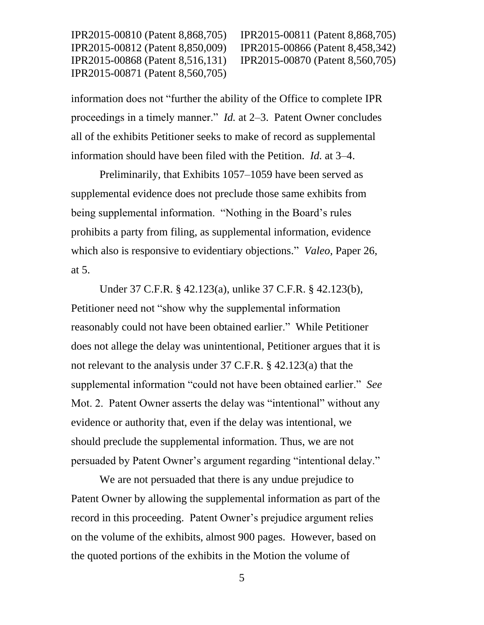IPR2015-00810 (Patent 8,868,705) IPR2015-00811 (Patent 8,868,705)

information does not "further the ability of the Office to complete IPR proceedings in a timely manner." *Id.* at 2–3. Patent Owner concludes all of the exhibits Petitioner seeks to make of record as supplemental information should have been filed with the Petition. *Id.* at 3–4.

Preliminarily, that Exhibits 1057–1059 have been served as supplemental evidence does not preclude those same exhibits from being supplemental information. "Nothing in the Board's rules prohibits a party from filing, as supplemental information, evidence which also is responsive to evidentiary objections." *Valeo*, Paper 26, at 5.

Under 37 C.F.R. § 42.123(a), unlike 37 C.F.R. § 42.123(b), Petitioner need not "show why the supplemental information reasonably could not have been obtained earlier." While Petitioner does not allege the delay was unintentional, Petitioner argues that it is not relevant to the analysis under 37 C.F.R. § 42.123(a) that the supplemental information "could not have been obtained earlier." *See* Mot. 2. Patent Owner asserts the delay was "intentional" without any evidence or authority that, even if the delay was intentional, we should preclude the supplemental information. Thus, we are not persuaded by Patent Owner's argument regarding "intentional delay."

We are not persuaded that there is any undue prejudice to Patent Owner by allowing the supplemental information as part of the record in this proceeding. Patent Owner's prejudice argument relies on the volume of the exhibits, almost 900 pages. However, based on the quoted portions of the exhibits in the Motion the volume of

5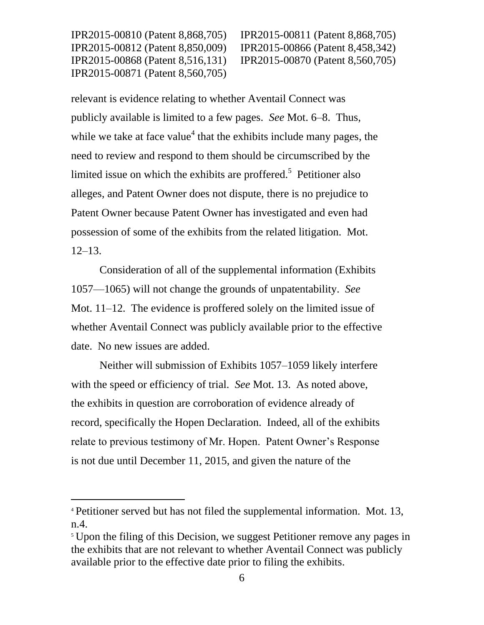l

IPR2015-00810 (Patent 8,868,705) IPR2015-00811 (Patent 8,868,705)

relevant is evidence relating to whether Aventail Connect was publicly available is limited to a few pages. *See* Mot. 6–8. Thus, while we take at face value<sup>4</sup> that the exhibits include many pages, the need to review and respond to them should be circumscribed by the limited issue on which the exhibits are proffered.<sup>5</sup> Petitioner also alleges, and Patent Owner does not dispute, there is no prejudice to Patent Owner because Patent Owner has investigated and even had possession of some of the exhibits from the related litigation. Mot. 12–13.

Consideration of all of the supplemental information (Exhibits 1057—1065) will not change the grounds of unpatentability. *See* Mot. 11–12. The evidence is proffered solely on the limited issue of whether Aventail Connect was publicly available prior to the effective date. No new issues are added.

Neither will submission of Exhibits 1057–1059 likely interfere with the speed or efficiency of trial. *See* Mot. 13. As noted above, the exhibits in question are corroboration of evidence already of record, specifically the Hopen Declaration. Indeed, all of the exhibits relate to previous testimony of Mr. Hopen. Patent Owner's Response is not due until December 11, 2015, and given the nature of the

<sup>4</sup> Petitioner served but has not filed the supplemental information. Mot. 13, n.4.

<sup>&</sup>lt;sup>5</sup> Upon the filing of this Decision, we suggest Petitioner remove any pages in the exhibits that are not relevant to whether Aventail Connect was publicly available prior to the effective date prior to filing the exhibits.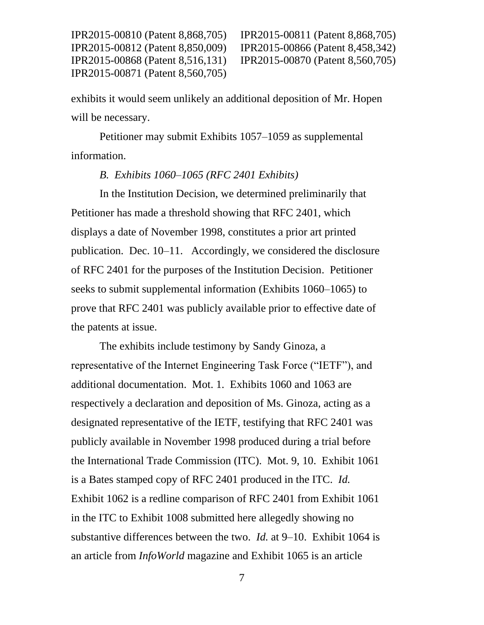IPR2015-00810 (Patent 8,868,705) IPR2015-00811 (Patent 8,868,705)

exhibits it would seem unlikely an additional deposition of Mr. Hopen will be necessary.

Petitioner may submit Exhibits 1057–1059 as supplemental information.

## *B. Exhibits 1060–1065 (RFC 2401 Exhibits)*

In the Institution Decision, we determined preliminarily that Petitioner has made a threshold showing that RFC 2401, which displays a date of November 1998, constitutes a prior art printed publication. Dec. 10–11. Accordingly, we considered the disclosure of RFC 2401 for the purposes of the Institution Decision. Petitioner seeks to submit supplemental information (Exhibits 1060–1065) to prove that RFC 2401 was publicly available prior to effective date of the patents at issue.

The exhibits include testimony by Sandy Ginoza, a representative of the Internet Engineering Task Force ("IETF"), and additional documentation. Mot. 1. Exhibits 1060 and 1063 are respectively a declaration and deposition of Ms. Ginoza, acting as a designated representative of the IETF, testifying that RFC 2401 was publicly available in November 1998 produced during a trial before the International Trade Commission (ITC). Mot. 9, 10. Exhibit 1061 is a Bates stamped copy of RFC 2401 produced in the ITC. *Id.* Exhibit 1062 is a redline comparison of RFC 2401 from Exhibit 1061 in the ITC to Exhibit 1008 submitted here allegedly showing no substantive differences between the two. *Id.* at 9–10. Exhibit 1064 is an article from *InfoWorld* magazine and Exhibit 1065 is an article

7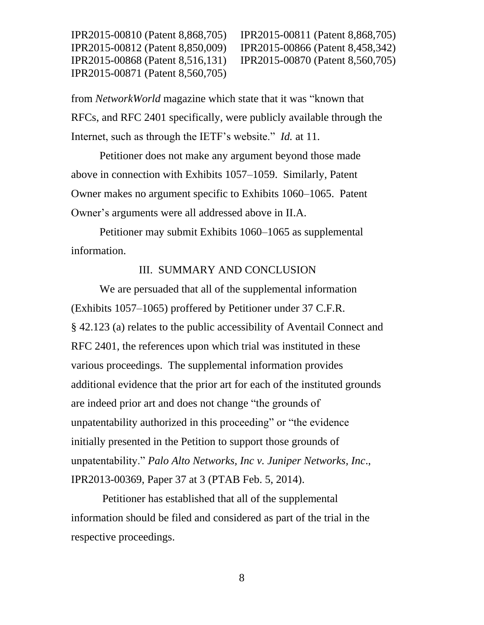IPR2015-00810 (Patent 8,868,705) IPR2015-00811 (Patent 8,868,705)

from *NetworkWorld* magazine which state that it was "known that RFCs, and RFC 2401 specifically, were publicly available through the Internet, such as through the IETF's website." *Id.* at 11.

Petitioner does not make any argument beyond those made above in connection with Exhibits 1057–1059. Similarly, Patent Owner makes no argument specific to Exhibits 1060–1065. Patent Owner's arguments were all addressed above in II.A.

Petitioner may submit Exhibits 1060–1065 as supplemental information.

### III. SUMMARY AND CONCLUSION

We are persuaded that all of the supplemental information (Exhibits 1057–1065) proffered by Petitioner under 37 C.F.R. § 42.123 (a) relates to the public accessibility of Aventail Connect and RFC 2401, the references upon which trial was instituted in these various proceedings. The supplemental information provides additional evidence that the prior art for each of the instituted grounds are indeed prior art and does not change "the grounds of unpatentability authorized in this proceeding" or "the evidence initially presented in the Petition to support those grounds of unpatentability." *Palo Alto Networks, Inc v. Juniper Networks, Inc*., IPR2013-00369, Paper 37 at 3 (PTAB Feb. 5, 2014).

Petitioner has established that all of the supplemental information should be filed and considered as part of the trial in the respective proceedings.

8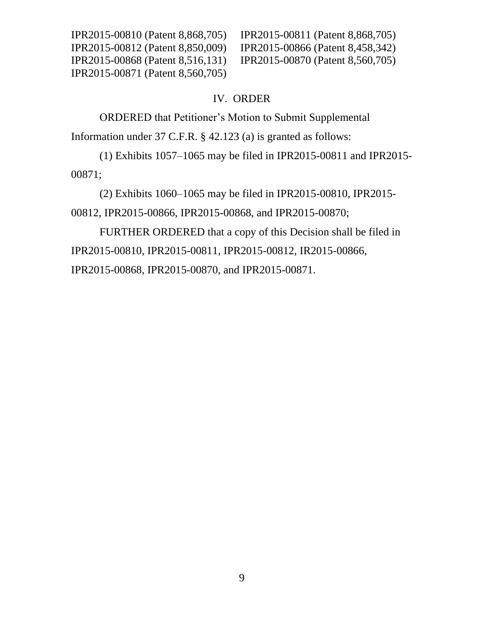IPR2015-00810 (Patent 8,868,705) IPR2015-00811 (Patent 8,868,705) IPR2015-00812 (Patent 8,850,009) IPR2015-00866 (Patent 8,458,342) IPR2015-00868 (Patent 8,516,131) IPR2015-00870 (Patent 8,560,705) IPR2015-00871 (Patent 8,560,705)

## IV. ORDER

ORDERED that Petitioner's Motion to Submit Supplemental

Information under 37 C.F.R. § 42.123 (a) is granted as follows:

(1) Exhibits 1057–1065 may be filed in IPR2015-00811 and IPR2015- 00871;

(2) Exhibits 1060–1065 may be filed in IPR2015-00810, IPR2015- 00812, IPR2015-00866, IPR2015-00868, and IPR2015-00870;

FURTHER ORDERED that a copy of this Decision shall be filed in IPR2015-00810, IPR2015-00811, IPR2015-00812, IR2015-00866, IPR2015-00868, IPR2015-00870, and IPR2015-00871.